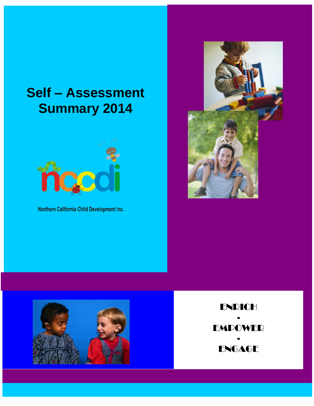# **Self – Assessment Summary 2014**



Northern California Child Development Inc.





ENRICH ∙ EMPOWER ∙ **ENGAGE**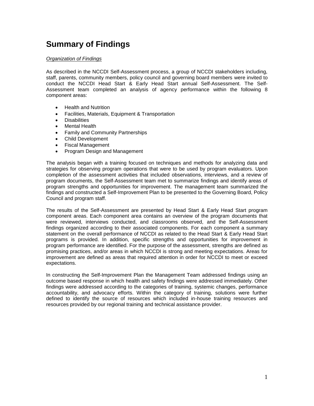# **Summary of Findings**

#### *Organization of Findings*

As described in the NCCDI Self-Assessment process, a group of NCCDI stakeholders including, staff, parents, community members, policy council and governing board members were invited to conduct the NCCDI Head Start & Early Head Start annual Self-Assessment. The Self-Assessment team completed an analysis of agency performance within the following 8 component areas:

- Health and Nutrition
- Facilities, Materials, Equipment & Transportation
- **Disabilities**
- Mental Health
- Family and Community Partnerships
- Child Development
- Fiscal Management
- Program Design and Management

The analysis began with a training focused on techniques and methods for analyzing data and strategies for observing program operations that were to be used by program evaluators. Upon completion of the assessment activities that included observations, interviews, and a review of program documents, the Self-Assessment team met to summarize findings and identify areas of program strengths and opportunities for improvement. The management team summarized the findings and constructed a Self-Improvement Plan to be presented to the Governing Board, Policy Council and program staff.

The results of the Self-Assessment are presented by Head Start & Early Head Start program component areas. Each component area contains an overview of the program documents that were reviewed, interviews conducted, and classrooms observed, and the Self-Assessment findings organized according to their associated components. For each component a summary statement on the overall performance of NCCDI as related to the Head Start & Early Head Start programs is provided. In addition, specific strengths and opportunities for improvement in program performance are identified. For the purpose of the assessment, strengths are defined as promising practices, and/or areas in which NCCDI is strong and meeting expectations. Areas for improvement are defined as areas that required attention in order for NCCDI to meet or exceed expectations.

In constructing the Self-Improvement Plan the Management Team addressed findings using an outcome based response in which health and safety findings were addressed immediately. Other findings were addressed according to the categories of training, systemic changes, performance accountability, and advocacy efforts. Within the category of training, solutions were further defined to identify the source of resources which included in-house training resources and resources provided by our regional training and technical assistance provider.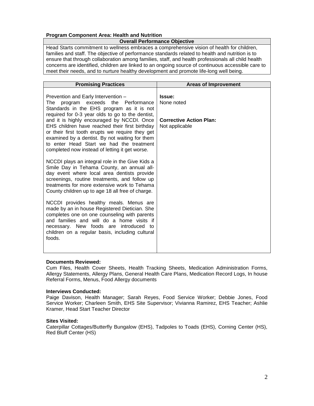# **Program Component Area: Health and Nutrition**

#### **Overall Performance Objective**

Head Starts commitment to wellness embraces a comprehensive vision of health for children, families and staff. The objective of performance standards related to health and nutrition is to ensure that through collaboration among families, staff, and health professionals all child health concerns are identified, children are linked to an ongoing source of continuous accessible care to meet their needs, and to nurture healthy development and promote life-long well being.

| <b>Promising Practices</b>                                                                                                                                                                                                                                                                                                                                                                                                                                                        | <b>Areas of Improvement</b>                                              |
|-----------------------------------------------------------------------------------------------------------------------------------------------------------------------------------------------------------------------------------------------------------------------------------------------------------------------------------------------------------------------------------------------------------------------------------------------------------------------------------|--------------------------------------------------------------------------|
| Prevention and Early Intervention -<br>program exceeds the Performance<br>The<br>Standards in the EHS program as it is not<br>required for 0-3 year olds to go to the dentist,<br>and it is highly encouraged by NCCDI. Once<br>EHS children have reached their first birthday<br>or their first tooth erupts we require they get<br>examined by a dentist. By not waiting for them<br>to enter Head Start we had the treatment<br>completed now instead of letting it get worse. | Issue:<br>None noted<br><b>Corrective Action Plan:</b><br>Not applicable |
| NCCDI plays an integral role in the Give Kids a<br>Smile Day in Tehama County, an annual all-<br>day event where local area dentists provide<br>screenings, routine treatments, and follow up<br>treatments for more extensive work to Tehama<br>County children up to age 18 all free of charge.                                                                                                                                                                                 |                                                                          |
| NCCDI provides healthy meals. Menus are<br>made by an in house Registered Dietician. She<br>completes one on one counseling with parents<br>and families and will do a home visits if<br>necessary. New foods are introduced to<br>children on a regular basis, including cultural<br>foods.                                                                                                                                                                                      |                                                                          |

# **Documents Reviewed:**

Cum Files, Health Cover Sheets, Health Tracking Sheets, Medication Administration Forms, Allergy Statements, Allergy Plans, General Health Care Plans, Medication Record Logs, In house Referral Forms, Menus, Food Allergy documents

### **Interviews Conducted:**

Paige Davison, Health Manager; Sarah Reyes, Food Service Worker; Debbie Jones, Food Service Worker; Charleen Smith, EHS Site Supervisor; Vivianna Ramirez, EHS Teacher; Ashlie Kramer, Head Start Teacher Director

#### **Sites Visited:**

Caterpillar Cottages/Butterfly Bungalow (EHS), Tadpoles to Toads (EHS), Corning Center (HS), Red Bluff Center (HS)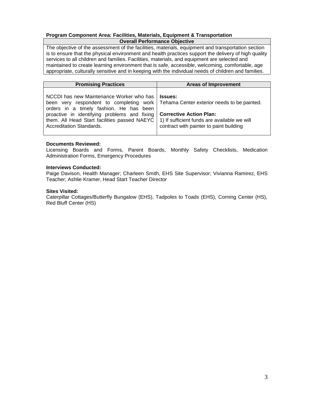#### **Program Component Area: Facilities, Materials, Equipment & Transportation Overall Performance Objective**

The objective of the assessment of the facilities, materials, equipment and transportation section is to ensure that the physical environment and health practices support the delivery of high quality services to all children and families. Facilities, materials, and equipment are selected and maintained to create learning environment that is safe, accessible, welcoming, comfortable, age appropriate, culturally sensitive and in keeping with the individual needs of children and families.

| <b>Promising Practices</b>                                                                                                                                                                                                                                                                                                                                                             | <b>Areas of Improvement</b>                          |
|----------------------------------------------------------------------------------------------------------------------------------------------------------------------------------------------------------------------------------------------------------------------------------------------------------------------------------------------------------------------------------------|------------------------------------------------------|
| NCCDI has new Maintenance Worker who has<br>been very respondent to completing work   Tehama Center exterior needs to be painted.<br>orders in a timely fashion. He has been<br>proactive in identifying problems and fixing   Corrective Action Plan:<br>them. All Head Start facilities passed NAEYC $\mid$ 1) If sufficient funds are available we will<br>Accreditation Standards. | l Issues:<br>contract with painter to paint building |

#### **Documents Reviewed:**

Licensing Boards and Forms, Parent Boards, Monthly Safety Checklists, Medication Administration Forms, Emergency Procedures

#### **Interviews Conducted:**

Paige Davison, Health Manager; Charleen Smith, EHS Site Supervisor; Vivianna Ramirez, EHS Teacher; Ashlie Kramer, Head Start Teacher Director

#### **Sites Visited:**

Caterpillar Cottages/Butterfly Bungalow (EHS), Tadpoles to Toads (EHS), Corning Center (HS), Red Bluff Center (HS)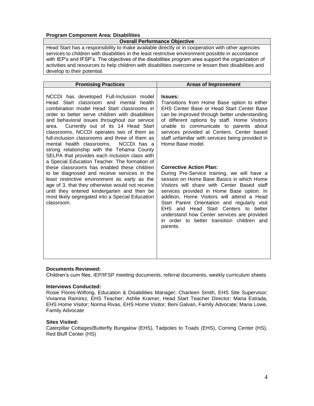## **Program Component Area: Disabilities**

#### **Overall Performance Objective**

Head Start has a responsibility to make available directly or in cooperation with other agencies services to children with disabilities in the least restrictive environment possible in accordance with IEP's and IFSP's. The objectives of the disabilities program area support the organization of activities and resources to help children with disabilities overcome or lessen their disabilities and develop to their potential.

| <b>Promising Practices</b>                                                                                                                                                                                                                                                                                                                                                                                                                                                                                                                                                        | <b>Areas of Improvement</b>                                                                                                                                                                                                                                                                                                                                                                                                                                           |
|-----------------------------------------------------------------------------------------------------------------------------------------------------------------------------------------------------------------------------------------------------------------------------------------------------------------------------------------------------------------------------------------------------------------------------------------------------------------------------------------------------------------------------------------------------------------------------------|-----------------------------------------------------------------------------------------------------------------------------------------------------------------------------------------------------------------------------------------------------------------------------------------------------------------------------------------------------------------------------------------------------------------------------------------------------------------------|
| NCCDI has developed Full-Inclusion model<br>Head Start classroom and mental<br>health<br>combination model Head Start classrooms in<br>order to better serve children with disabilities<br>and behavioral issues throughout our service<br>Currently out of its 14 Head Start<br>area.<br>classrooms, NCCDI operates two of them as<br>full-inclusion classrooms and three of them as<br>NCCDI has a<br>mental health classrooms.<br>strong relationship with the Tehama County<br>SELPA that provides each inclusion class with<br>a Special Education Teacher. The formation of | <b>Issues:</b><br>Transitions from Home Base option to either<br>EHS Center Base or Head Start Center Base<br>can be improved through better understanding<br>of different options by staff. Home Visitors<br>unable to communicate to parents about<br>services provided at Centers. Center based<br>staff unfamiliar with services being provided in<br>Home Base model.                                                                                            |
| these classrooms has enabled these children<br>to be diagnosed and receive services in the<br>least restrictive environment as early as the<br>age of 3, that they otherwise would not receive<br>until they entered kindergarten and then be<br>most likely segregated into a Special Education<br>classroom.                                                                                                                                                                                                                                                                    | <b>Corrective Action Plan:</b><br>During Pre-Service training, we will have a<br>session on Home Base Basics in which Home<br>Visitors will share with Center Based staff<br>services provided in Home Base option. In<br>addition, Home Visitors will attend a Head<br>Start Parent Orientation and regularly visit<br>EHS and Head Start Centers to better<br>understand how Center services are provided<br>in order to better transition children and<br>parents. |

#### **Documents Reviewed:**

Children's cum files, IEP/IFSP meeting documents, referral documents, weekly curriculum sheets

#### **Interviews Conducted:**

Rosie Flores-Wilfong, Education & Disabilities Manager; Charleen Smith, EHS Site Supervisor; Vivianna Ramirez, EHS Teacher; Ashlie Kramer, Head Start Teacher Director; Maria Estrada, EHS Home Visitor; Norma Rivas, EHS Home Visitor; Beni Galvan, Family Advocate; Maria Lowe, Family Advocate

#### **Sites Visited:**

Caterpillar Cottages/Butterfly Bungalow (EHS), Tadpoles to Toads (EHS), Corning Center (HS), Red Bluff Center (HS)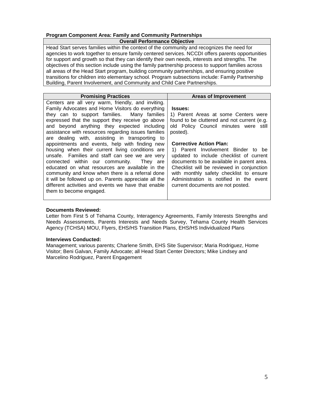# **Program Component Area: Family and Community Partnerships**

#### **Overall Performance Objective**

Head Start serves families within the context of the community and recognizes the need for agencies to work together to ensure family centered services. NCCDI offers parents opportunities for support and growth so that they can identify their own needs, interests and strengths. The objectives of this section include using the family partnership process to support families across all areas of the Head Start program, building community partnerships, and ensuring positive transitions for children into elementary school. Program subsections include: Family Partnership Building, Parent Involvement, and Community and Child Care Partnerships.

| <b>Promising Practices</b>                                                                                                                                                                                                                                                                                                                                                                                                                                                                                                                                                                                                                                                                                                                                                                                                 | <b>Areas of Improvement</b>                                                                                                                                                                                                                                                                                                                                                                                                                                                                        |
|----------------------------------------------------------------------------------------------------------------------------------------------------------------------------------------------------------------------------------------------------------------------------------------------------------------------------------------------------------------------------------------------------------------------------------------------------------------------------------------------------------------------------------------------------------------------------------------------------------------------------------------------------------------------------------------------------------------------------------------------------------------------------------------------------------------------------|----------------------------------------------------------------------------------------------------------------------------------------------------------------------------------------------------------------------------------------------------------------------------------------------------------------------------------------------------------------------------------------------------------------------------------------------------------------------------------------------------|
| Centers are all very warm, friendly, and inviting.<br>Family Advocates and Home Visitors do everything<br>they can to support families. Many families<br>expressed that the support they receive go above<br>and beyond anything they expected including<br>assistance with resources regarding issues families<br>are dealing with, assisting in transporting to<br>appointments and events, help with finding new<br>housing when their current living conditions are<br>unsafe. Families and staff can see we are very<br>connected within our community.<br>They are<br>educated on what resources are available in the<br>community and know when there is a referral done<br>it will be followed up on. Parents appreciate all the<br>different activities and events we have that enable<br>them to become engaged. | <b>Issues:</b><br>1) Parent Areas at some Centers were<br>found to be cluttered and not current (e.g.<br>old Policy Council minutes were still<br>posted).<br><b>Corrective Action Plan:</b><br>1) Parent Involvement Binder to be<br>updated to include checklist of current<br>documents to be available in parent area.<br>Checklist will be reviewed in conjunction<br>with monthly safety checklist to ensure<br>Administration is notified in the event<br>current documents are not posted. |
|                                                                                                                                                                                                                                                                                                                                                                                                                                                                                                                                                                                                                                                                                                                                                                                                                            |                                                                                                                                                                                                                                                                                                                                                                                                                                                                                                    |

### **Documents Reviewed:**

Letter from First 5 of Tehama County, Interagency Agreements, Family Interests Strengths and Needs Assessments, Parents Interests and Needs Survey, Tehama County Health Services Agency (TCHSA) MOU, Flyers, EHS/HS Transition Plans, EHS/HS Individualized Plans

#### **Interviews Conducted:**

Management; various parents; Charlene Smith, EHS Site Supervisor; Maria Rodriguez, Home Visitor; Beni Galvan, Family Advocate; all Head Start Center Directors; Mike Lindsey and Marcelino Rodriguez, Parent Engagement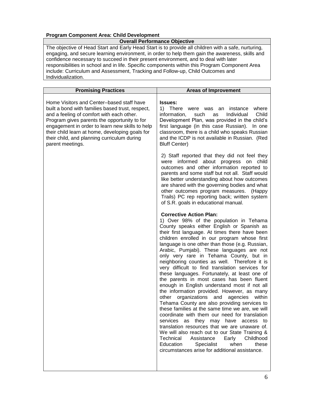# **Program Component Area: Child Development**

# **Overall Performance Objective**

The objective of Head Start and Early Head Start is to provide all children with a safe, nurturing, engaging, and secure learning environment, in order to help them gain the awareness, skills and confidence necessary to succeed in their present environment, and to deal with later responsibilities in school and in life. Specific components within this Program Component Area include: Curriculum and Assessment, Tracking and Follow-up, Child Outcomes and Individualization.

| <b>Promising Practices</b>                                                                                                                                                                                                                                                                                                                                          | <b>Areas of Improvement</b>                                                                                                                                                                                                                                                                                                                                                                                                                                                                                                                                                                                                                                                                                                                                                                                                                                                                                                                                                                                                                                                                                                                                     |
|---------------------------------------------------------------------------------------------------------------------------------------------------------------------------------------------------------------------------------------------------------------------------------------------------------------------------------------------------------------------|-----------------------------------------------------------------------------------------------------------------------------------------------------------------------------------------------------------------------------------------------------------------------------------------------------------------------------------------------------------------------------------------------------------------------------------------------------------------------------------------------------------------------------------------------------------------------------------------------------------------------------------------------------------------------------------------------------------------------------------------------------------------------------------------------------------------------------------------------------------------------------------------------------------------------------------------------------------------------------------------------------------------------------------------------------------------------------------------------------------------------------------------------------------------|
| Home Visitors and Center-based staff have<br>built a bond with families based trust, respect,<br>and a feeling of comfort with each other.<br>Program gives parents the opportunity to for<br>engagement in order to learn new skills to help<br>their child learn at home, developing goals for<br>their child, and planning curriculum during<br>parent meetings. | <b>Issues:</b><br>1) There were was an instance<br>where<br>Child<br>information,<br>Individual<br>such<br>as<br>Development Plan, was provided in the child's<br>first language (in this case Russian). In one<br>classroom, there is a child who speaks Russian<br>and the ICDP is not available in Russian. (Red<br><b>Bluff Center)</b>                                                                                                                                                                                                                                                                                                                                                                                                                                                                                                                                                                                                                                                                                                                                                                                                                     |
|                                                                                                                                                                                                                                                                                                                                                                     | 2) Staff reported that they did not feel they<br>were informed about progress on child<br>outcomes and other information reported to<br>parents and some staff but not all. Staff would<br>like better understanding about how outcomes<br>are shared with the governing bodies and what<br>other outcomes program measures.<br>(Happy)<br>Trails) PC rep reporting back; written system<br>of S.R. goals in educational manual.                                                                                                                                                                                                                                                                                                                                                                                                                                                                                                                                                                                                                                                                                                                                |
|                                                                                                                                                                                                                                                                                                                                                                     | <b>Corrective Action Plan:</b><br>1) Over 98% of the population in Tehama<br>County speaks either English or Spanish as<br>their first language. At times there have been<br>children enrolled in our program whose first<br>language is one other than those (e.g. Russian,<br>Arabic, Pumjabi). These languages are not<br>only very rare in Tehama County, but in<br>neighboring counties as well. Therefore it is<br>very difficult to find translation services for<br>these languages. Fortunately, at least one of<br>the parents in most cases has been fluent<br>enough in English understand most if not all<br>the information provided. However, as many<br>other organizations and<br>agencies<br>within<br>Tehama County are also providing services to<br>these families at the same time we are, we will<br>coordinate with them our need for translation<br>services as they may have access to<br>translation resources that we are unaware of.<br>We will also reach out to our State Training &<br>Technical<br>Assistance<br>Early Childhood<br>Education<br>Specialist<br>when<br>these<br>circumstances arise for additional assistance. |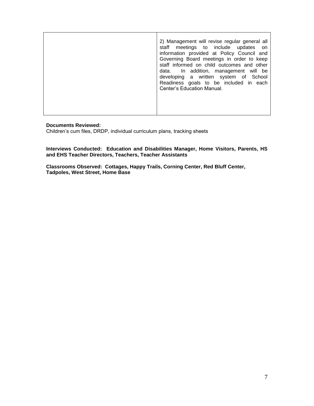|  | 2) Management will revise regular general all<br>staff meetings to include updates<br>on on<br>information provided at Policy Council and<br>Governing Board meetings in order to keep<br>staff informed on child outcomes and other<br>data. In addition, management will be<br>developing a written system of School<br>Readiness goals to be included in each<br>Center's Education Manual. |
|--|------------------------------------------------------------------------------------------------------------------------------------------------------------------------------------------------------------------------------------------------------------------------------------------------------------------------------------------------------------------------------------------------|
|--|------------------------------------------------------------------------------------------------------------------------------------------------------------------------------------------------------------------------------------------------------------------------------------------------------------------------------------------------------------------------------------------------|

#### **Documents Reviewed:**

Children's cum files, DRDP, individual curriculum plans, tracking sheets

**Interviews Conducted: Education and Disabilities Manager, Home Visitors, Parents, HS and EHS Teacher Directors, Teachers, Teacher Assistants**

**Classrooms Observed: Cottages, Happy Trails, Corning Center, Red Bluff Center, Tadpoles, West Street, Home Base**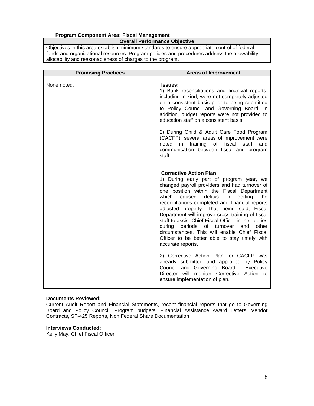# **Program Component Area: Fiscal Management**

**Overall Performance Objective**

Objectives in this area establish minimum standards to ensure appropriate control of federal funds and organizational resources. Program policies and procedures address the allowability, allocability and reasonableness of charges to the program.

| <b>Promising Practices</b> | <b>Areas of Improvement</b>                                                                                                                                                                                                                                                                                                                                                                                                                                                                                                                                                                                    |
|----------------------------|----------------------------------------------------------------------------------------------------------------------------------------------------------------------------------------------------------------------------------------------------------------------------------------------------------------------------------------------------------------------------------------------------------------------------------------------------------------------------------------------------------------------------------------------------------------------------------------------------------------|
| None noted.                | <b>Issues:</b><br>1) Bank reconciliations and financial reports,<br>including in-kind, were not completely adjusted<br>on a consistent basis prior to being submitted<br>to Policy Council and Governing Board. In<br>addition, budget reports were not provided to<br>education staff on a consistent basis.                                                                                                                                                                                                                                                                                                  |
|                            | 2) During Child & Adult Care Food Program<br>(CACFP), several areas of improvement were<br>in training of fiscal<br>staff<br>noted<br>and<br>communication between fiscal and program<br>staff.                                                                                                                                                                                                                                                                                                                                                                                                                |
|                            | <b>Corrective Action Plan:</b><br>1) During early part of program year, we<br>changed payroll providers and had turnover of<br>one position within the Fiscal Department<br>which<br>delays<br>in<br>getting<br>caused<br>the<br>reconciliations completed and financial reports<br>adjusted properly. That being said, Fiscal<br>Department will improve cross-training of fiscal<br>staff to assist Chief Fiscal Officer in their duties<br>during periods of turnover<br>other<br>and<br>circumstances. This will enable Chief Fiscal<br>Officer to be better able to stay timely with<br>accurate reports. |
|                            | 2) Corrective Action Plan for CACFP was<br>already submitted and approved by Policy<br>Council and Governing Board. Executive<br>Director will monitor Corrective Action to<br>ensure implementation of plan.                                                                                                                                                                                                                                                                                                                                                                                                  |

#### **Documents Reviewed:**

Current Audit Report and Financial Statements, recent financial reports that go to Governing Board and Policy Council, Program budgets, Financial Assistance Award Letters, Vendor Contracts, SF-425 Reports, Non Federal Share Documentation

#### **Interviews Conducted:**

Kelly May, Chief Fiscal Officer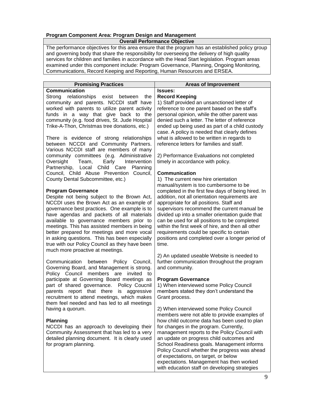# **Program Component Area: Program Design and Management**

# **Overall Performance Objective**

The performance objectives for this area ensure that the program has an established policy group and governing body that share the responsibility for overseeing the delivery of high quality services for children and families in accordance with the Head Start legislation. Program areas examined under this component include: Program Governance, Planning, Ongoing Monitoring, Communications, Record Keeping and Reporting, Human Resources and ERSEA.

| <b>Promising Practices</b>                     | <b>Areas of Improvement</b>                        |
|------------------------------------------------|----------------------------------------------------|
| Communication                                  | <b>Issues:</b>                                     |
|                                                |                                                    |
| Strong relationships exist between<br>the      | <b>Record Keeping</b>                              |
| community and parents. NCCDI staff have        | 1) Staff provided an unsanctioned letter of        |
| worked with parents to utilize parent activity | reference to one parent based on the staff's       |
| funds in a way that give back to the           | personal opinion, while the other parent was       |
| community (e.g. food drives, St. Jude Hospital | denied such a letter. The letter of reference      |
| Trike-A-Thon, Christmas tree donations, etc.)  | ended up being used as part of a child custody     |
|                                                | case. A policy is needed that clearly defines      |
| There is evidence of strong relationships      | what is allowed to be written in regards to        |
| between NCCDI and Community Partners.          | reference letters for families and staff.          |
| Various NCCDI staff are members of many        |                                                    |
| community committees (e.g. Administrative      | 2) Performance Evaluations not completed           |
| Early<br>Oversight<br>Team,<br>Intervention    | timely in accordance with policy.                  |
| Partnership, Local Child Care<br>Planning      |                                                    |
| Council, Child Abuse Prevention Council,       | <b>Communication</b>                               |
| County Dental Subcommittee, etc.)              | 1) The current new hire orientation                |
|                                                | manual/system is too cumbersome to be              |
| <b>Program Governance</b>                      | completed in the first few days of being hired. In |
| Despite not being subject to the Brown Act,    | addition, not all orientation requirements are     |
|                                                |                                                    |
| NCCDI uses the Brown Act as an example of      | appropriate for all positions. Staff and           |
| governance best practices. One example is to   | supervisors recommend the current manual be        |
| have agendas and packets of all materials      | divided up into a smaller orientation guide that   |
| available to governance members prior to       | can be used for all positions to be completed      |
| meetings. This has assisted members in being   | within the first week of hire, and then all other  |
| better prepared for meetings and more vocal    | requirements could be specific to certain          |
| in asking questions. This has been especially  | positions and completed over a longer period of    |
| true with our Policy Council as they have been | time.                                              |
| much more proactive at meetings.               |                                                    |
|                                                | 2) An updated useable Website is needed to         |
| Communication<br>between<br>Policy Council,    | further communication throughout the program       |
| Governing Board, and Management is strong.     | and community.                                     |
| Policy Council members are invited<br>to       |                                                    |
| participate at Governing Board meetings as     | <b>Program Governance</b>                          |
| part of shared governance. Policy Coucnil      | 1) When interviewed some Policy Council            |
| parents report that there is aggressive        | members stated they don't understand the           |
| recruitment to attend meetings, which makes    | Grant process.                                     |
| them feel needed and has led to all meetings   |                                                    |
| having a quorum.                               | 2) When interviewed some Policy Council            |
|                                                | members were not able to provide examples of       |
| <b>Planning</b>                                | how child outcome data has been used to plan       |
|                                                |                                                    |
| NCCDI has an approach to developing their      | for changes in the program. Currently,             |
| Community Assessment that has led to a very    | management reports to the Policy Council with      |
| detailed planning document. It is clearly used | an update on progress child outcomes and           |
| for program planning.                          | School Readiness goals. Management informs         |
|                                                | Policy Council whether the progress was ahead      |
|                                                | of expectations, on target, or below               |
|                                                | expectations. Management has then worked           |
|                                                | with education staff on developing strategies      |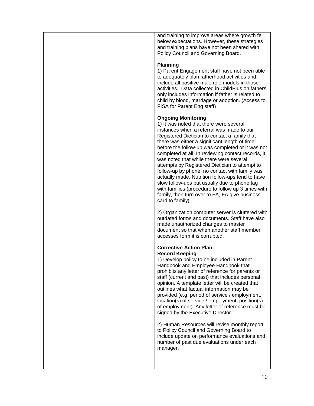and training to improve areas where growth fell below expectations. However, these strategies and training plans have not been shared with Policy Council and Governing Board.

#### **Planning**

1) Parent Engagement staff have not been able to adequately plan fatherhood activities and include all positive male role models in those activities. Data collected in ChildPlus on fathers only includes information if father is related to child by blood, marriage or adoption. (Access to FISA for Parent Eng staff)

### **Ongoing Monitoring**

1) It was noted that there were several instances when a referral was made to our Registered Dietician to contact a family that there was either a significant length of time before the follow-up was completed or it was not completed at all. In reviewing contact records, it was noted that while there were several attempts by Registered Dietician to attempt to follow-up by phone, no contact with family was actually made. Nutrition follow-ups tend to have slow follow-ups but usually due to phone tag with families.(procedure to follow up 3 times with family, then turn over to FA, FA give business card to family)

2) Organization computer server is cluttered with outdated forms and documents. Staff have also made unauthorized changes to master document so that when another staff member accesses form it is corrupted.

#### **Corrective Action Plan: Record Keeping**

1) Develop policy to be included in Parent Handbook and Employee Handbook that prohibits any letter of reference for parents or staff (current and past) that includes personal opinion. A template letter will be created that outlines what factual information may be provided (e.g. period of service / employment, location(s) of service / employment, position(s) of employment). Any letter of reference must be signed by the Executive Director.

2) Human Resources will revise monthly report to Policy Council and Governing Board to include update on performance evaluations and number of past due evaluations under each manager.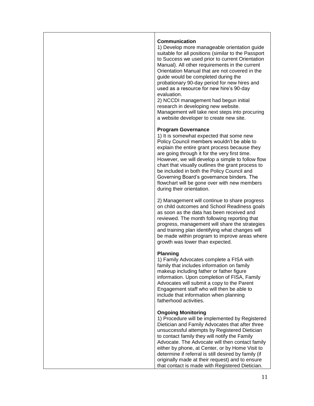| <b>Communication</b><br>1) Develop more manageable orientation guide<br>suitable for all positions (similar to the Passport<br>to Success we used prior to current Orientation<br>Manual). All other requirements in the current<br>Orientation Manual that are not covered in the<br>guide would be completed during the<br>probationary 90-day period for new hires and<br>used as a resource for new hire's 90-day<br>evaluation.<br>2) NCCDI management had begun initial<br>research in developing new website.<br>Management will take next steps into procuring<br>a website developer to create new site. |
|-------------------------------------------------------------------------------------------------------------------------------------------------------------------------------------------------------------------------------------------------------------------------------------------------------------------------------------------------------------------------------------------------------------------------------------------------------------------------------------------------------------------------------------------------------------------------------------------------------------------|
| <b>Program Governance</b><br>1) It is somewhat expected that some new<br>Policy Council members wouldn't be able to<br>explain the entire grant process because they<br>are going through it for the very first time.<br>However, we will develop a simple to follow flow<br>chart that visually outlines the grant process to<br>be included in both the Policy Council and<br>Governing Board's governance binders. The<br>flowchart will be gone over with new members<br>during their orientation.                                                                                                            |
| 2) Management will continue to share progress<br>on child outcomes and School Readiness goals<br>as soon as the data has been received and<br>reviewed. The month following reporting that<br>progress, management will share the strategies<br>and training plan identifying what changes will<br>be made within program to improve areas where<br>growth was lower than expected.                                                                                                                                                                                                                               |
| Planning<br>1) Family Advocates complete a FISA with<br>family that includes information on family<br>makeup including father or father figure<br>information. Upon completion of FISA, Family<br>Advocates will submit a copy to the Parent<br>Engagement staff who will then be able to<br>include that information when planning<br>fatherhood activities.                                                                                                                                                                                                                                                     |
| <b>Ongoing Monitoring</b><br>1) Procedure will be implemented by Registered<br>Dietician and Family Advocates that after three<br>unsuccessful attempts by Registered Dietician<br>to contact family they will notify the Family<br>Advocate. The Advocate will then contact family<br>either by phone, at Center, or by Home Visit to<br>determine if referral is still desired by family (if<br>originally made at their request) and to ensure<br>that contact is made with Registered Dietician.                                                                                                              |